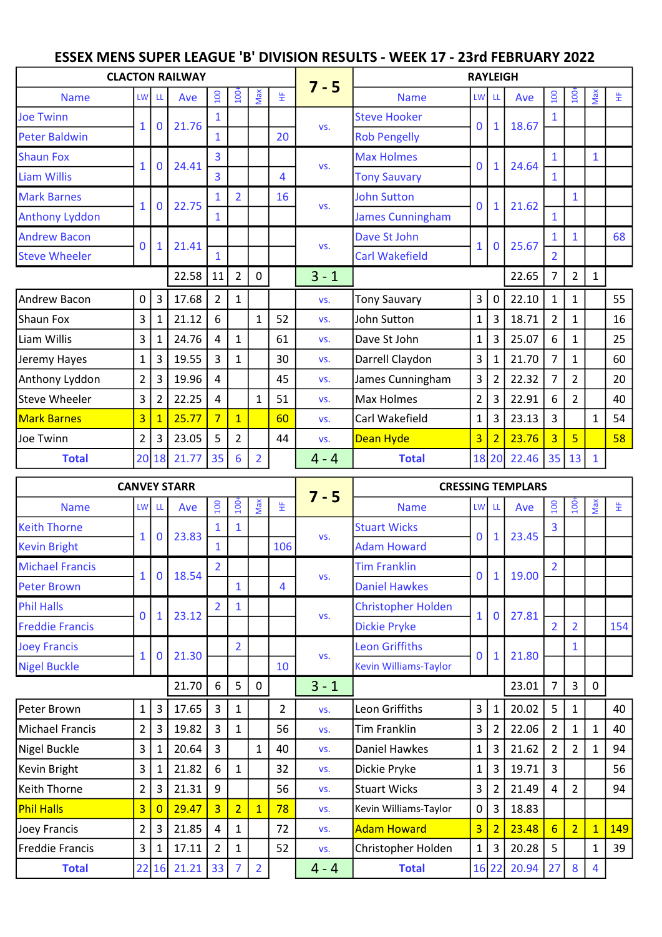## ESSEX MENS SUPER LEAGUE 'B' DIVISION RESULTS - WEEK 17 - 23rd FEBRUARY 2022

|                        |                 |                | <b>CLACTON RAILWAY</b> |                  |                  |                |                | $7 - 5$ | <b>RAYLEIGH</b>              |                |                |       |                  |                  |                |     |  |  |  |  |
|------------------------|-----------------|----------------|------------------------|------------------|------------------|----------------|----------------|---------|------------------------------|----------------|----------------|-------|------------------|------------------|----------------|-----|--|--|--|--|
| <b>Name</b>            | LW <sup>I</sup> | LL             | Ave                    | 100              | 100 <sub>1</sub> | Max            | 뚶              |         | <b>Name</b>                  | LW LL          |                | Ave   | 100              | $\overline{100}$ | Max            | 生   |  |  |  |  |
| <b>Joe Twinn</b>       |                 |                |                        |                  |                  |                |                |         | <b>Steve Hooker</b>          |                |                |       |                  |                  |                |     |  |  |  |  |
| <b>Peter Baldwin</b>   | 1               | 0              | 21.76                  | 1                |                  |                | 20             | VS.     | <b>Rob Pengelly</b>          | $\mathbf{0}$   | 1              | 18.67 |                  |                  |                |     |  |  |  |  |
| <b>Shaun Fox</b>       |                 | 0              |                        | 3                |                  |                |                | VS.     | <b>Max Holmes</b>            |                | 1              |       | $\mathbf{1}$     |                  | $\mathbf{1}$   |     |  |  |  |  |
| <b>Liam Willis</b>     | 1               |                | 24.41                  | $\overline{3}$   |                  |                | 4              |         | <b>Tony Sauvary</b>          | $\mathbf{0}$   |                | 24.64 | $\mathbf{1}$     |                  |                |     |  |  |  |  |
| <b>Mark Barnes</b>     |                 | 0              | 22.75                  | 1                | $\overline{2}$   |                | 16             |         | <b>John Sutton</b>           | $\Omega$       |                | 21.62 |                  | $\mathbf{1}$     |                |     |  |  |  |  |
| <b>Anthony Lyddon</b>  | $\mathbf{1}$    |                |                        | 1                |                  |                |                | VS.     | <b>James Cunningham</b>      |                | 1              |       | $\mathbf{1}$     |                  |                |     |  |  |  |  |
| <b>Andrew Bacon</b>    | 0               |                | 21.41                  |                  |                  |                |                |         | Dave St John                 | 1              | 0              | 25.67 | $\mathbf{1}$     | $\mathbf{1}$     |                | 68  |  |  |  |  |
| <b>Steve Wheeler</b>   |                 |                |                        |                  |                  |                |                | VS.     | <b>Carl Wakefield</b>        |                |                |       | $\overline{2}$   |                  |                |     |  |  |  |  |
|                        |                 |                | 22.58                  | 11               | $\overline{2}$   | $\mathbf 0$    |                | $3 - 1$ |                              |                |                | 22.65 | $\overline{7}$   | $\overline{2}$   | $\mathbf{1}$   |     |  |  |  |  |
| Andrew Bacon           | 0               | 3              | 17.68                  | $\overline{2}$   | $\mathbf{1}$     |                |                | VS.     | <b>Tony Sauvary</b>          | 3              | 0              | 22.10 | 1                | 1                |                | 55  |  |  |  |  |
| Shaun Fox              | 3               | 1              | 21.12                  | 6                |                  | 1              | 52             | VS.     | John Sutton                  | $\mathbf{1}$   | $\overline{3}$ | 18.71 | $\overline{2}$   | 1                |                | 16  |  |  |  |  |
| Liam Willis            | 3               | 1              | 24.76                  | 4                | $\mathbf 1$      |                | 61             | VS.     | Dave St John                 | $\mathbf{1}$   | 3              | 25.07 | 6                | $\mathbf{1}$     |                | 25  |  |  |  |  |
| Jeremy Hayes           | $\mathbf{1}$    | 3              | 19.55                  | 3                | $\mathbf{1}$     |                | 30             | VS.     | Darrell Claydon              | 3              | 1              | 21.70 | $\overline{7}$   | $\mathbf{1}$     |                | 60  |  |  |  |  |
| Anthony Lyddon         | $\overline{2}$  | 3              | 19.96                  | 4                |                  |                | 45             | VS.     | James Cunningham             | 3              | $\overline{2}$ | 22.32 | 7                | $\overline{2}$   |                | 20  |  |  |  |  |
| Steve Wheeler          | 3               | 2              | 22.25                  | 4                |                  | $\mathbf{1}$   | 51             | VS.     | <b>Max Holmes</b>            | 2              | 3              | 22.91 | 6                | $\overline{2}$   |                | 40  |  |  |  |  |
| <b>Mark Barnes</b>     | $\overline{3}$  |                | 25.77                  | 7                | $\overline{1}$   |                | 60             | VS.     | Carl Wakefield               | $\mathbf{1}$   | 3              | 23.13 | 3                |                  | $\mathbf{1}$   | 54  |  |  |  |  |
| Joe Twinn              | $\overline{2}$  | 3              | 23.05                  | 5                | $\overline{2}$   |                | 44             | VS.     | Dean Hyde                    | $\overline{3}$ | $\overline{2}$ | 23.76 | $\overline{3}$   | $\overline{5}$   |                | 58  |  |  |  |  |
| <b>Total</b>           | 20              | 18             | 21.77                  | 35               | 6                | $\overline{2}$ |                | $4 - 4$ | <b>Total</b>                 |                | 18 20          | 22.46 | 35               | 13               | 1              |     |  |  |  |  |
|                        |                 |                | <b>CANVEY STARR</b>    |                  |                  |                |                |         | <b>CRESSING TEMPLARS</b>     |                |                |       |                  |                  |                |     |  |  |  |  |
| <b>Name</b>            | LW              | -LL            | Ave                    | $\overline{100}$ | $\overline{100}$ | Max            | 뚶              | $7 - 5$ | <b>Name</b>                  | LW LL          |                | Ave   | $\overline{100}$ | $\overline{5}$   | Max            | 뚶   |  |  |  |  |
| <b>Keith Thorne</b>    |                 |                |                        | 1                | 1                |                |                | VS.     | <b>Stuart Wicks</b>          |                |                |       | 3                |                  |                |     |  |  |  |  |
| <b>Kevin Bright</b>    | $\mathbf{1}$    | 0              | 23.83                  | 1                |                  |                | 106            |         | <b>Adam Howard</b>           | 0              | 1              | 23.45 |                  |                  |                |     |  |  |  |  |
| <b>Michael Francis</b> |                 |                |                        | $\overline{2}$   |                  |                |                | VS.     | <b>Tim Franklin</b>          |                |                |       | $\overline{2}$   |                  |                |     |  |  |  |  |
| <b>Peter Brown</b>     | $\mathbf{1}$    | $\bf{0}$       | 18.54                  |                  | $\mathbf{1}$     |                | 4              |         | <b>Daniel Hawkes</b>         | 0              | $\mathbf{1}$   | 19.00 |                  |                  |                |     |  |  |  |  |
| <b>Phil Halls</b>      | $\mathbf 0$     |                | 23.12                  | $\overline{2}$   | 1                |                |                |         | <b>Christopher Holden</b>    | $\mathbf{1}$   | $\mathbf 0$    | 27.81 |                  |                  |                |     |  |  |  |  |
| <b>Freddie Francis</b> |                 | $\mathbf 1$    |                        |                  |                  |                |                | VS.     | <b>Dickie Pryke</b>          |                |                |       | $\overline{2}$   | $\overline{2}$   |                | 154 |  |  |  |  |
| <b>Joey Francis</b>    | 1               | 0              | 21.30                  |                  | $\overline{2}$   |                |                | VS.     | <b>Leon Griffiths</b>        | $\mathbf{0}$   | 1              | 21.80 |                  | 1                |                |     |  |  |  |  |
| <b>Nigel Buckle</b>    |                 |                |                        |                  |                  |                | 10             |         | <b>Kevin Williams-Taylor</b> |                |                |       |                  |                  |                |     |  |  |  |  |
|                        |                 |                | 21.70                  | 6                | 5                | $\pmb{0}$      |                | $3 - 1$ |                              |                |                | 23.01 | $\overline{7}$   | 3                | 0              |     |  |  |  |  |
| Peter Brown            | $\mathbf{1}$    | $\overline{3}$ | 17.65                  | 3                | $\mathbf{1}$     |                | $\overline{2}$ | VS.     | Leon Griffiths               | $\mathbf{3}$   | $\mathbf{1}$   | 20.02 | 5                | $\mathbf{1}$     |                | 40  |  |  |  |  |
| Michael Francis        | $\overline{2}$  | $\mathbf{3}$   | 19.82                  | 3                | $\mathbf{1}$     |                | 56             | VS.     | <b>Tim Franklin</b>          | 3              | $\overline{2}$ | 22.06 | $\overline{2}$   | $\mathbf{1}$     | $\mathbf{1}$   | 40  |  |  |  |  |
| Nigel Buckle           | 3               | 1              | 20.64                  | 3                |                  | $\mathbf{1}$   | 40             | VS.     | Daniel Hawkes                | $\mathbf{1}$   | $\mathsf 3$    | 21.62 | $\overline{2}$   | $\overline{2}$   | $\mathbf{1}$   | 94  |  |  |  |  |
| Kevin Bright           | 3               | 1              | 21.82                  | 6                | $\mathbf{1}$     |                | 32             | VS.     | Dickie Pryke                 | $\mathbf{1}$   | 3              | 19.71 | 3                |                  |                | 56  |  |  |  |  |
| Keith Thorne           | $\overline{2}$  | 3              | 21.31                  | 9                |                  |                | 56             | VS.     | <b>Stuart Wicks</b>          | 3              | $\overline{2}$ | 21.49 | 4                | $\overline{2}$   |                | 94  |  |  |  |  |
| Phil Halls             | $\overline{3}$  | $\overline{0}$ | 29.47                  | $\overline{3}$   | $\overline{2}$   | $\overline{1}$ | 78             | VS.     | Kevin Williams-Taylor        | 0              | $\mathbf{3}$   | 18.83 |                  |                  |                |     |  |  |  |  |
| Joey Francis           | $\overline{2}$  | 3              | 21.85                  | 4                | $\mathbf{1}$     |                | 72             | VS.     | <b>Adam Howard</b>           | 3              | $\overline{2}$ | 23.48 | $6 \overline{}$  | $\overline{2}$   | $\overline{1}$ | 149 |  |  |  |  |
| Freddie Francis        | 3               | $\mathbf 1$    | 17.11                  | $\overline{2}$   | 1                |                | 52             | VS.     | Christopher Holden           | $\mathbf{1}$   | 3              | 20.28 | 5                |                  | $\mathbf{1}$   | 39  |  |  |  |  |

Total 22 16 21.21 33 7 2 4 - 4 Total 16 22 20.94 27 8 4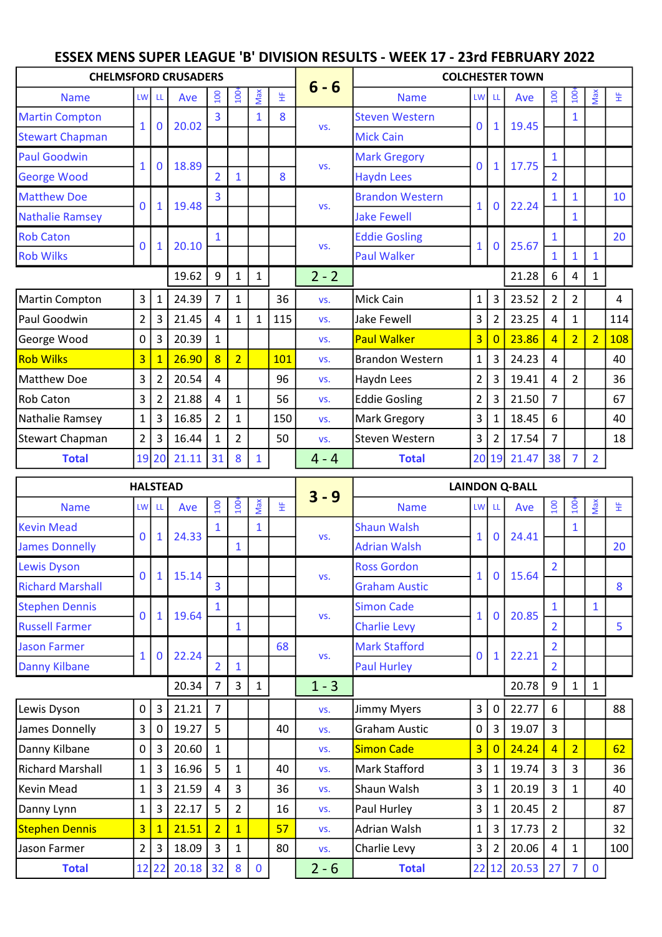## ESSEX MENS SUPER LEAGUE 'B' DIVISION RESULTS - WEEK 17 - 23rd FEBRUARY 2022

| <b>CHELMSFORD CRUSADERS</b> |                |             |       |                |                  |     |     |         | <b>COLCHESTER TOWN</b> |                |                |       |                |                |                |     |  |  |  |
|-----------------------------|----------------|-------------|-------|----------------|------------------|-----|-----|---------|------------------------|----------------|----------------|-------|----------------|----------------|----------------|-----|--|--|--|
| <b>Name</b>                 | <b>LW</b>      | <b>LL</b>   | Ave   | 100            | 100 <sup>2</sup> | Max | 뜊   | $6 - 6$ | <b>Name</b>            | LW LL          |                | Ave   | 100            | 100-           | Max            | 뚶   |  |  |  |
| <b>Martin Compton</b>       | $\mathbf{1}$   | 0           | 20.02 | $\overline{3}$ |                  | 1   | 8   |         | <b>Steven Western</b>  | $\Omega$       | $\mathbf{1}$   | 19.45 |                | $\mathbf{1}$   |                |     |  |  |  |
| <b>Stewart Chapman</b>      |                |             |       |                |                  |     |     | VS.     | <b>Mick Cain</b>       |                |                |       |                |                |                |     |  |  |  |
| <b>Paul Goodwin</b>         | 1              | $\mathbf 0$ | 18.89 |                |                  |     |     | VS.     | <b>Mark Gregory</b>    | $\mathbf{0}$   | 1              | 17.75 |                |                |                |     |  |  |  |
| <b>George Wood</b>          |                |             |       | $\overline{2}$ | 1                |     | 8   |         | <b>Haydn Lees</b>      |                |                |       | $\overline{2}$ |                |                |     |  |  |  |
| <b>Matthew Doe</b>          | $\mathbf{0}$   |             | 19.48 | 3              |                  |     |     | VS.     | <b>Brandon Western</b> | $\mathbf{1}$   | $\mathbf 0$    | 22.24 | $\mathbf{1}$   |                |                | 10  |  |  |  |
| <b>Nathalie Ramsey</b>      |                | 1           |       |                |                  |     |     |         | <b>Jake Fewell</b>     |                |                |       |                | $\mathbf{1}$   |                |     |  |  |  |
| <b>Rob Caton</b>            | O              |             | 20.10 | $\mathbf{1}$   |                  |     |     | VS.     | <b>Eddie Gosling</b>   | $\mathbf{1}$   | $\bf{0}$       | 25.67 |                |                |                | 20  |  |  |  |
| <b>Rob Wilks</b>            |                |             |       |                |                  |     |     |         | Paul Walker            |                |                |       |                |                | $\mathbf{1}$   |     |  |  |  |
|                             |                |             | 19.62 | 9              | 1                | 1   |     | $2 - 2$ |                        |                |                | 21.28 | 6              | 4              | $\mathbf{1}$   |     |  |  |  |
| Martin Compton              | $\overline{3}$ | 1           | 24.39 | 7              | 1                |     | 36  | VS.     | Mick Cain              | $\mathbf{1}$   | 3              | 23.52 | $\overline{2}$ | $\overline{2}$ |                | 4   |  |  |  |
| Paul Goodwin                | $\overline{2}$ | 3           | 21.45 | 4              | 1                | 1   | 115 | VS.     | <b>Jake Fewell</b>     | 3              | $\overline{2}$ | 23.25 | 4              | 1              |                | 114 |  |  |  |
| George Wood                 | 0              | 3           | 20.39 | $\mathbf{1}$   |                  |     |     | VS.     | <b>Paul Walker</b>     | 3              | $\overline{0}$ | 23.86 | $\overline{4}$ | $\overline{2}$ | $\overline{2}$ | 108 |  |  |  |
| <b>Rob Wilks</b>            | $\overline{3}$ |             | 26.90 | 8              | $\overline{2}$   |     | 101 | VS.     | <b>Brandon Western</b> | $\mathbf{1}$   | 3              | 24.23 | 4              |                |                | 40  |  |  |  |
| Matthew Doe                 | $\overline{3}$ | 2           | 20.54 | 4              |                  |     | 96  | VS.     | Haydn Lees             | $\overline{a}$ | 3              | 19.41 | 4              | $\overline{2}$ |                | 36  |  |  |  |
| Rob Caton                   | 3              | 2           | 21.88 | 4              | $\mathbf{1}$     |     | 56  | VS.     | <b>Eddie Gosling</b>   | $\overline{2}$ | 3 <sup>1</sup> | 21.50 | $\overline{7}$ |                |                | 67  |  |  |  |
| Nathalie Ramsey             | $\mathbf{1}$   | 3           | 16.85 | $\overline{2}$ | 1                |     | 150 | VS.     | Mark Gregory           | 3              | 1              | 18.45 | 6              |                |                | 40  |  |  |  |
| Stewart Chapman             | $\overline{2}$ | 3           | 16.44 | 1              | $\overline{2}$   |     | 50  | VS.     | Steven Western         | 3              | $\overline{2}$ | 17.54 | $\overline{7}$ |                |                | 18  |  |  |  |
| <b>Total</b>                | 19             | 20          | 21.11 | 31             | 8                | 1   |     | $4 - 4$ | <b>Total</b>           |                | 20 19          | 21.47 | 38             | $\overline{7}$ | $\overline{2}$ |     |  |  |  |

|                         | <b>HALSTEAD</b> |              |       |                         |                |              |    | $3 - 9$ | <b>LAINDON Q-BALL</b> |                |                |       |                  |                |              |     |  |  |  |
|-------------------------|-----------------|--------------|-------|-------------------------|----------------|--------------|----|---------|-----------------------|----------------|----------------|-------|------------------|----------------|--------------|-----|--|--|--|
| <b>Name</b>             | <b>LW</b>       |              | Ave   | $\overline{100}$        | $\overline{5}$ | <b>Max</b>   | 뚶  |         | <b>Name</b>           | LW LL          |                | Ave   | $\overline{100}$ | 100            | Max          | 뚶   |  |  |  |
| <b>Kevin Mead</b>       | 0               |              | 24.33 |                         |                |              |    | VS.     | <b>Shaun Walsh</b>    | $\mathbf{1}$   |                | 24.41 |                  | $\mathbf{1}$   |              |     |  |  |  |
| <b>James Donnelly</b>   |                 | 1            |       |                         |                |              |    |         | <b>Adrian Walsh</b>   |                | $\bf{0}$       |       |                  |                |              | 20  |  |  |  |
| Lewis Dyson             | 0               | 1            | 15.14 |                         |                |              |    |         | <b>Ross Gordon</b>    | $\mathbf{1}$   | $\mathbf 0$    | 15.64 | $\overline{2}$   |                |              |     |  |  |  |
| <b>Richard Marshall</b> |                 |              |       | $\overline{3}$          |                |              |    | VS.     | <b>Graham Austic</b>  |                |                |       |                  |                |              | 8   |  |  |  |
| <b>Stephen Dennis</b>   | 0               |              | 19.64 |                         |                |              |    | VS.     | <b>Simon Cade</b>     | $\mathbf{1}$   | $\mathbf 0$    | 20.85 | $\mathbf{1}$     |                | $\mathbf{1}$ |     |  |  |  |
| <b>Russell Farmer</b>   |                 |              |       |                         |                |              |    |         | <b>Charlie Levy</b>   |                |                |       | $\overline{2}$   |                |              | 5   |  |  |  |
| <b>Jason Farmer</b>     | $\mathbf{1}$    | 0            | 22.24 |                         |                |              | 68 | VS.     | <b>Mark Stafford</b>  | 0              | $\mathbf{1}$   | 22.21 | $\overline{2}$   |                |              |     |  |  |  |
| <b>Danny Kilbane</b>    |                 |              |       | $\overline{\mathbf{c}}$ | 1              |              |    |         | <b>Paul Hurley</b>    |                |                |       | $\overline{2}$   |                |              |     |  |  |  |
|                         |                 |              | 20.34 | $\overline{7}$          | 3              | 1            |    | $1 - 3$ |                       |                |                | 20.78 | 9                | $\mathbf{1}$   | $\mathbf{1}$ |     |  |  |  |
| Lewis Dyson             | 0               | 3            | 21.21 | $\overline{7}$          |                |              |    | VS.     | Jimmy Myers           | $\overline{3}$ | 0              | 22.77 | 6                |                |              | 88  |  |  |  |
| James Donnelly          | 3               | 0            | 19.27 | 5                       |                |              | 40 | VS.     | Graham Austic         | $\circ$        | 3              | 19.07 | $\overline{3}$   |                |              |     |  |  |  |
| Danny Kilbane           | 0               | 3            | 20.60 | $\mathbf{1}$            |                |              |    | VS.     | <b>Simon Cade</b>     | $\overline{3}$ | $\overline{0}$ | 24.24 | $\overline{4}$   | $\overline{2}$ |              | 62  |  |  |  |
| <b>Richard Marshall</b> | $\mathbf{1}$    | 3            | 16.96 | 5                       | 1              |              | 40 | VS.     | Mark Stafford         | 3              | 1              | 19.74 | 3                | 3              |              | 36  |  |  |  |
| Kevin Mead              | $\mathbf{1}$    | 3            | 21.59 | 4                       | 3              |              | 36 | VS.     | Shaun Walsh           | 3              | 1              | 20.19 | 3                | $\mathbf{1}$   |              | 40  |  |  |  |
| Danny Lynn              | $\mathbf 1$     | 3            | 22.17 | 5                       | $\overline{2}$ |              | 16 | VS.     | Paul Hurley           | 3              | $\mathbf 1$    | 20.45 | $\overline{2}$   |                |              | 87  |  |  |  |
| <b>Stephen Dennis</b>   | $\overline{3}$  | $\mathbf{1}$ | 21.51 | $\overline{2}$          | $\overline{1}$ |              | 57 | VS.     | Adrian Walsh          | $\mathbf{1}$   | 3              | 17.73 | $\overline{2}$   |                |              | 32  |  |  |  |
| Jason Farmer            | $\overline{2}$  | 3            | 18.09 | 3                       | $\mathbf{1}$   |              | 80 | VS.     | Charlie Levy          | 3              | 2              | 20.06 | 4                | $\mathbf{1}$   |              | 100 |  |  |  |
| <b>Total</b>            |                 | 12 22        | 20.18 | 32                      | 8              | $\mathbf{0}$ |    | $2 - 6$ | <b>Total</b>          |                | 22 12          | 20.53 | 27               | $\overline{7}$ | $\pmb{0}$    |     |  |  |  |